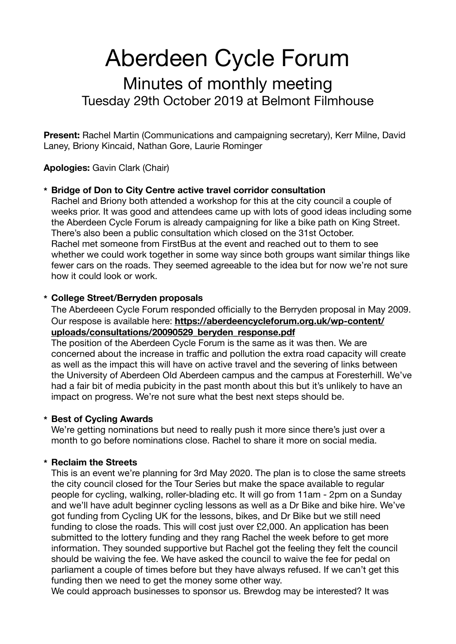# Aberdeen Cycle Forum

# Minutes of monthly meeting Tuesday 29th October 2019 at Belmont Filmhouse

**Present:** Rachel Martin (Communications and campaigning secretary), Kerr Milne, David Laney, Briony Kincaid, Nathan Gore, Laurie Rominger

**Apologies:** Gavin Clark (Chair)

## **\* Bridge of Don to City Centre active travel corridor consultation**

Rachel and Briony both attended a workshop for this at the city council a couple of weeks prior. It was good and attendees came up with lots of good ideas including some the Aberdeen Cycle Forum is already campaigning for like a bike path on King Street. There's also been a public consultation which closed on the 31st October. Rachel met someone from FirstBus at the event and reached out to them to see whether we could work together in some way since both groups want similar things like fewer cars on the roads. They seemed agreeable to the idea but for now we're not sure how it could look or work.

#### **\* College Street/Berryden proposals**

The Aberdeeen Cycle Forum responded officially to the Berryden proposal in May 2009. Our respose is available here: **[https://aberdeencycleforum.org.uk/wp-content/](https://aberdeencycleforum.org.uk/wp-content/uploads/consultations/20090529_beryden_response.pdf) [uploads/consultations/20090529\\_beryden\\_response.pdf](https://aberdeencycleforum.org.uk/wp-content/uploads/consultations/20090529_beryden_response.pdf)**

The position of the Aberdeen Cycle Forum is the same as it was then. We are concerned about the increase in traffic and pollution the extra road capacity will create as well as the impact this will have on active travel and the severing of links between the University of Aberdeen Old Aberdeen campus and the campus at Foresterhill. We've had a fair bit of media pubicity in the past month about this but it's unlikely to have an impact on progress. We're not sure what the best next steps should be.

#### **\* Best of Cycling Awards**

We're getting nominations but need to really push it more since there's just over a month to go before nominations close. Rachel to share it more on social media.

## **\* Reclaim the Streets**

This is an event we're planning for 3rd May 2020. The plan is to close the same streets the city council closed for the Tour Series but make the space available to regular people for cycling, walking, roller-blading etc. It will go from 11am - 2pm on a Sunday and we'll have adult beginner cycling lessons as well as a Dr Bike and bike hire. We've got funding from Cycling UK for the lessons, bikes, and Dr Bike but we still need funding to close the roads. This will cost just over £2,000. An application has been submitted to the lottery funding and they rang Rachel the week before to get more information. They sounded supportive but Rachel got the feeling they felt the council should be waiving the fee. We have asked the council to waive the fee for pedal on parliament a couple of times before but they have always refused. If we can't get this funding then we need to get the money some other way.

We could approach businesses to sponsor us. Brewdog may be interested? It was